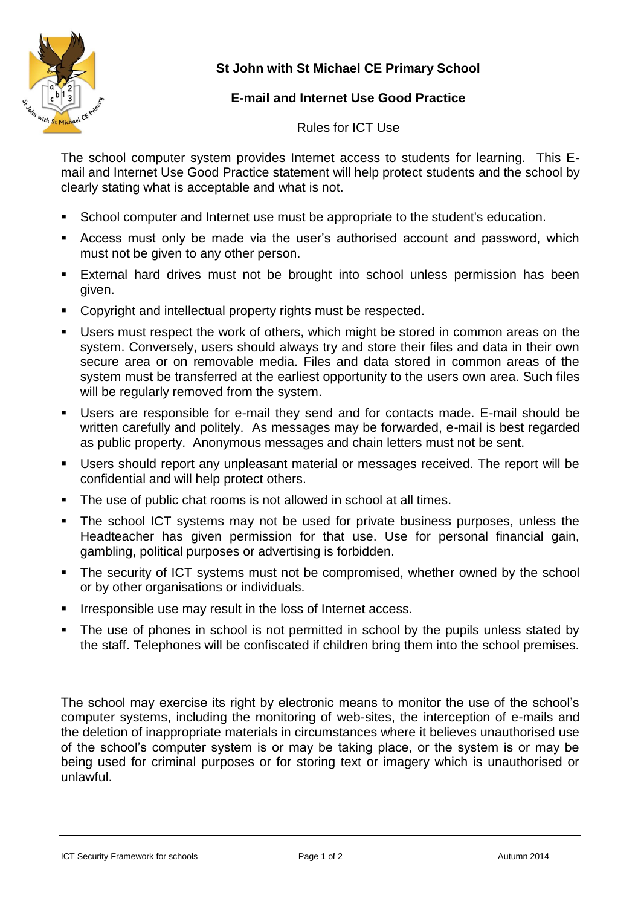

## **St John with St Michael CE Primary School**

## **E-mail and Internet Use Good Practice**

Rules for ICT Use

The school computer system provides Internet access to students for learning. This Email and Internet Use Good Practice statement will help protect students and the school by clearly stating what is acceptable and what is not.

- School computer and Internet use must be appropriate to the student's education.
- Access must only be made via the user's authorised account and password, which must not be given to any other person.
- External hard drives must not be brought into school unless permission has been given.
- **Copyright and intellectual property rights must be respected.**
- Users must respect the work of others, which might be stored in common areas on the system. Conversely, users should always try and store their files and data in their own secure area or on removable media. Files and data stored in common areas of the system must be transferred at the earliest opportunity to the users own area. Such files will be regularly removed from the system.
- Users are responsible for e-mail they send and for contacts made. E-mail should be written carefully and politely. As messages may be forwarded, e-mail is best regarded as public property. Anonymous messages and chain letters must not be sent.
- Users should report any unpleasant material or messages received. The report will be confidential and will help protect others.
- The use of public chat rooms is not allowed in school at all times.
- The school ICT systems may not be used for private business purposes, unless the Headteacher has given permission for that use. Use for personal financial gain, gambling, political purposes or advertising is forbidden.
- The security of ICT systems must not be compromised, whether owned by the school or by other organisations or individuals.
- **IF ITTE 18 ITTES** Irresponsible use may result in the loss of Internet access.
- The use of phones in school is not permitted in school by the pupils unless stated by the staff. Telephones will be confiscated if children bring them into the school premises.

The school may exercise its right by electronic means to monitor the use of the school's computer systems, including the monitoring of web-sites, the interception of e-mails and the deletion of inappropriate materials in circumstances where it believes unauthorised use of the school's computer system is or may be taking place, or the system is or may be being used for criminal purposes or for storing text or imagery which is unauthorised or unlawful.

ICT Security Framework for schools **Example 2014** Page 1 of 2 **Page 1 of 2** Autumn 2014